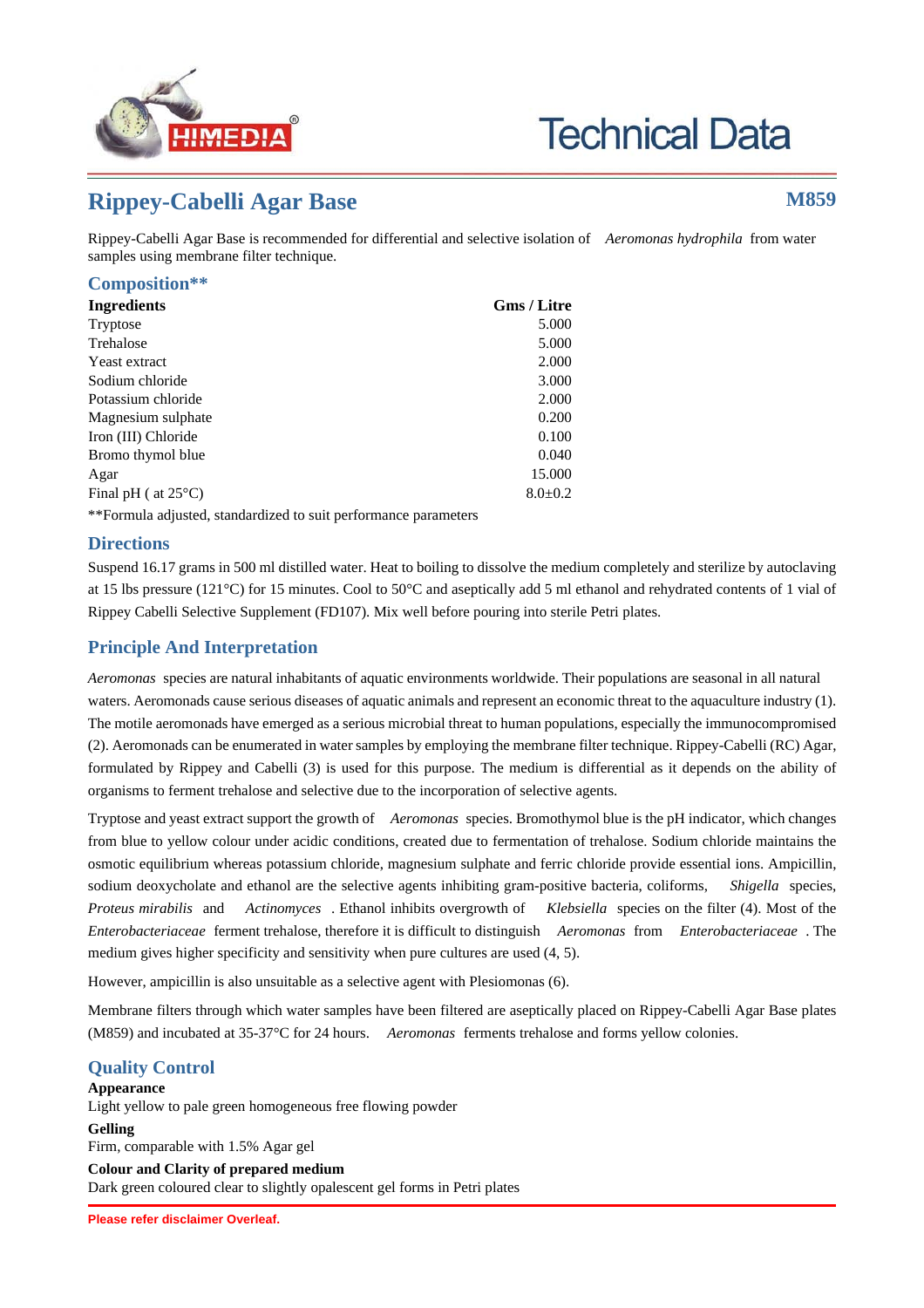

# **Technical Data**

# **Rippey-Cabelli Agar Base M859**

Rippey-Cabelli Agar Base is recommended for differential and selective isolation of *Aeromonas hydrophila* from water samples using membrane filter technique.

#### **Composition\*\***

| <b>Ingredients</b>                                              | <b>Gms / Litre</b> |
|-----------------------------------------------------------------|--------------------|
| Tryptose                                                        | 5.000              |
| Trehalose                                                       | 5.000              |
| Yeast extract                                                   | 2.000              |
| Sodium chloride                                                 | 3.000              |
| Potassium chloride                                              | 2.000              |
| Magnesium sulphate                                              | 0.200              |
| Iron (III) Chloride                                             | 0.100              |
| Bromo thymol blue                                               | 0.040              |
| Agar                                                            | 15.000             |
| Final pH ( at $25^{\circ}$ C)                                   | $8.0 \pm 0.2$      |
| **Formula adjusted, standardized to suit performance parameters |                    |

**Directions**

Suspend 16.17 grams in 500 ml distilled water. Heat to boiling to dissolve the medium completely and sterilize by autoclaving at 15 lbs pressure (121°C) for 15 minutes. Cool to 50°C and aseptically add 5 ml ethanol and rehydrated contents of 1 vial of Rippey Cabelli Selective Supplement (FD107). Mix well before pouring into sterile Petri plates.

## **Principle And Interpretation**

*Aeromonas* species are natural inhabitants of aquatic environments worldwide. Their populations are seasonal in all natural waters. Aeromonads cause serious diseases of aquatic animals and represent an economic threat to the aquaculture industry (1). The motile aeromonads have emerged as a serious microbial threat to human populations, especially the immunocompromised (2). Aeromonads can be enumerated in water samples by employing the membrane filter technique. Rippey-Cabelli (RC) Agar, formulated by Rippey and Cabelli (3) is used for this purpose. The medium is differential as it depends on the ability of organisms to ferment trehalose and selective due to the incorporation of selective agents.

Tryptose and yeast extract support the growth of *Aeromonas* species. Bromothymol blue is the pH indicator, which changes from blue to yellow colour under acidic conditions, created due to fermentation of trehalose. Sodium chloride maintains the osmotic equilibrium whereas potassium chloride, magnesium sulphate and ferric chloride provide essential ions. Ampicillin, sodium deoxycholate and ethanol are the selective agents inhibiting gram-positive bacteria, coliforms, *Shigella* species, *Proteus mirabilis* and *Actinomyces* . Ethanol inhibits overgrowth of *Klebsiella* species on the filter (4). Most of the *Enterobacteriaceae* ferment trehalose, therefore it is difficult to distinguish *Aeromonas* from *Enterobacteriaceae* . The medium gives higher specificity and sensitivity when pure cultures are used (4, 5).

However, ampicillin is also unsuitable as a selective agent with Plesiomonas (6).

Membrane filters through which water samples have been filtered are aseptically placed on Rippey-Cabelli Agar Base plates (M859) and incubated at 35-37°C for 24 hours. *Aeromonas* ferments trehalose and forms yellow colonies.

# **Quality Control**

### **Appearance**

Light yellow to pale green homogeneous free flowing powder

**Gelling**

Firm, comparable with 1.5% Agar gel **Colour and Clarity of prepared medium**

Dark green coloured clear to slightly opalescent gel forms in Petri plates